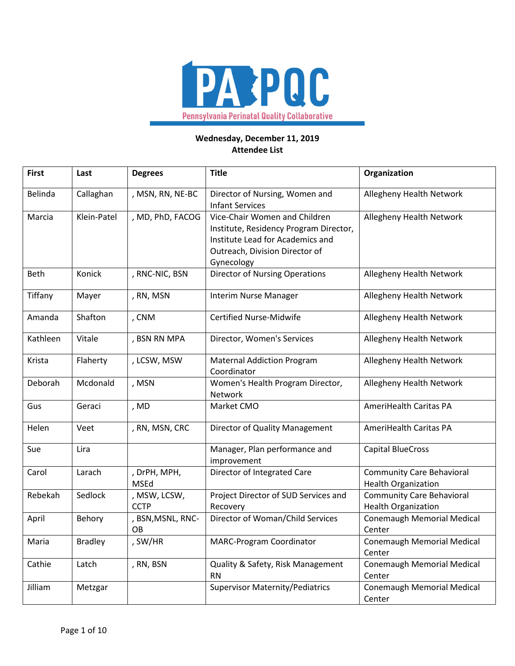

## **Wednesday, December 11, 2019 Attendee List**

| <b>First</b> | Last           | <b>Degrees</b>              | <b>Title</b>                                                                                                                                                | Organization                                                   |
|--------------|----------------|-----------------------------|-------------------------------------------------------------------------------------------------------------------------------------------------------------|----------------------------------------------------------------|
| Belinda      | Callaghan      | , MSN, RN, NE-BC            | Director of Nursing, Women and<br><b>Infant Services</b>                                                                                                    | Allegheny Health Network                                       |
| Marcia       | Klein-Patel    | , MD, PhD, FACOG            | Vice-Chair Women and Children<br>Institute, Residency Program Director,<br>Institute Lead for Academics and<br>Outreach, Division Director of<br>Gynecology | Allegheny Health Network                                       |
| Beth         | Konick         | , RNC-NIC, BSN              | <b>Director of Nursing Operations</b>                                                                                                                       | Allegheny Health Network                                       |
| Tiffany      | Mayer          | , RN, MSN                   | Interim Nurse Manager                                                                                                                                       | <b>Allegheny Health Network</b>                                |
| Amanda       | Shafton        | , CNM                       | <b>Certified Nurse-Midwife</b>                                                                                                                              | Allegheny Health Network                                       |
| Kathleen     | Vitale         | , BSN RN MPA                | Director, Women's Services                                                                                                                                  | Allegheny Health Network                                       |
| Krista       | Flaherty       | , LCSW, MSW                 | <b>Maternal Addiction Program</b><br>Coordinator                                                                                                            | Allegheny Health Network                                       |
| Deborah      | Mcdonald       | , MSN                       | Women's Health Program Director,<br>Network                                                                                                                 | Allegheny Health Network                                       |
| Gus          | Geraci         | , MD                        | Market CMO                                                                                                                                                  | AmeriHealth Caritas PA                                         |
| Helen        | Veet           | , RN, MSN, CRC              | Director of Quality Management                                                                                                                              | AmeriHealth Caritas PA                                         |
| Sue          | Lira           |                             | Manager, Plan performance and<br>improvement                                                                                                                | <b>Capital BlueCross</b>                                       |
| Carol        | Larach         | , DrPH, MPH,<br>MSEd        | Director of Integrated Care                                                                                                                                 | <b>Community Care Behavioral</b><br><b>Health Organization</b> |
| Rebekah      | Sedlock        | , MSW, LCSW,<br><b>CCTP</b> | Project Director of SUD Services and<br>Recovery                                                                                                            | <b>Community Care Behavioral</b><br><b>Health Organization</b> |
| April        | Behory         | , BSN, MSNL, RNC-<br>OB     | Director of Woman/Child Services                                                                                                                            | <b>Conemaugh Memorial Medical</b><br>Center                    |
| Maria        | <b>Bradley</b> | , SW/HR                     | <b>MARC-Program Coordinator</b>                                                                                                                             | <b>Conemaugh Memorial Medical</b><br>Center                    |
| Cathie       | Latch          | , RN, BSN                   | Quality & Safety, Risk Management<br><b>RN</b>                                                                                                              | <b>Conemaugh Memorial Medical</b><br>Center                    |
| Jilliam      | Metzgar        |                             | <b>Supervisor Maternity/Pediatrics</b>                                                                                                                      | <b>Conemaugh Memorial Medical</b><br>Center                    |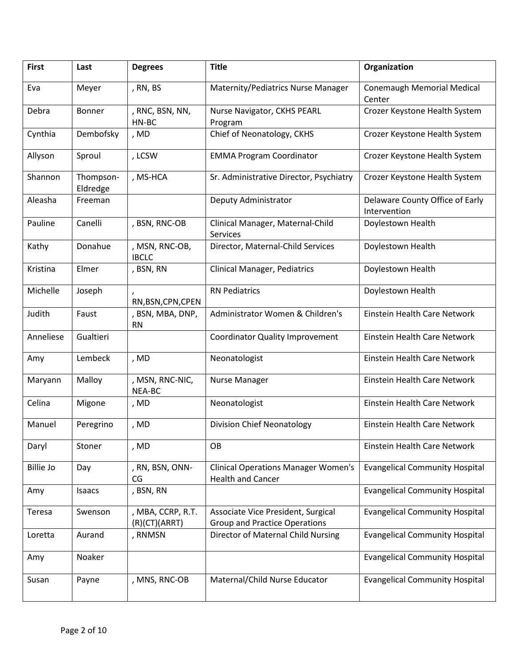| <b>First</b>     | Last                  | <b>Degrees</b>                     | <b>Title</b>                                                               | Organization                                    |
|------------------|-----------------------|------------------------------------|----------------------------------------------------------------------------|-------------------------------------------------|
| Eva              | Meyer                 | , RN, BS                           | Maternity/Pediatrics Nurse Manager                                         | <b>Conemaugh Memorial Medical</b><br>Center     |
| Debra            | Bonner                | , RNC, BSN, NN,<br>HN-BC           | Nurse Navigator, CKHS PEARL<br>Program                                     | Crozer Keystone Health System                   |
| Cynthia          | Dembofsky             | , MD                               | Chief of Neonatology, CKHS                                                 | Crozer Keystone Health System                   |
| Allyson          | Sproul                | , LCSW                             | <b>EMMA Program Coordinator</b>                                            | Crozer Keystone Health System                   |
| Shannon          | Thompson-<br>Eldredge | , MS-HCA                           | Sr. Administrative Director, Psychiatry                                    | Crozer Keystone Health System                   |
| Aleasha          | Freeman               |                                    | Deputy Administrator                                                       | Delaware County Office of Early<br>Intervention |
| Pauline          | Canelli               | , BSN, RNC-OB                      | Clinical Manager, Maternal-Child<br><b>Services</b>                        | Doylestown Health                               |
| Kathy            | Donahue               | , MSN, RNC-OB,<br><b>IBCLC</b>     | Director, Maternal-Child Services                                          | Doylestown Health                               |
| Kristina         | Elmer                 | , BSN, RN                          | <b>Clinical Manager, Pediatrics</b>                                        | Doylestown Health                               |
| Michelle         | Joseph                | RN, BSN, CPN, CPEN                 | <b>RN Pediatrics</b>                                                       | Doylestown Health                               |
| Judith           | Faust                 | , BSN, MBA, DNP,<br><b>RN</b>      | Administrator Women & Children's                                           | Einstein Health Care Network                    |
| Anneliese        | Gualtieri             |                                    | <b>Coordinator Quality Improvement</b>                                     | Einstein Health Care Network                    |
| Amy              | Lembeck               | , MD                               | Neonatologist                                                              | Einstein Health Care Network                    |
| Maryann          | Malloy                | , MSN, RNC-NIC,<br>NEA-BC          | Nurse Manager                                                              | Einstein Health Care Network                    |
| Celina           | Migone                | , MD                               | Neonatologist                                                              | <b>Einstein Health Care Network</b>             |
| Manuel           | Peregrino             | , MD                               | <b>Division Chief Neonatology</b>                                          | Einstein Health Care Network                    |
| Daryl            | Stoner                | , MD                               | OB                                                                         | Einstein Health Care Network                    |
| <b>Billie Jo</b> | Day                   | , RN, BSN, ONN-<br>CG              | <b>Clinical Operations Manager Women's</b><br><b>Health and Cancer</b>     | <b>Evangelical Community Hospital</b>           |
| Amy              | Isaacs                | , BSN, RN                          |                                                                            | <b>Evangelical Community Hospital</b>           |
| Teresa           | Swenson               | , MBA, CCRP, R.T.<br>(R)(CT)(ARRT) | Associate Vice President, Surgical<br><b>Group and Practice Operations</b> | <b>Evangelical Community Hospital</b>           |
| Loretta          | Aurand                | , RNMSN                            | Director of Maternal Child Nursing                                         | <b>Evangelical Community Hospital</b>           |
| Amy              | Noaker                |                                    |                                                                            | <b>Evangelical Community Hospital</b>           |
| Susan            | Payne                 | , MNS, RNC-OB                      | Maternal/Child Nurse Educator                                              | <b>Evangelical Community Hospital</b>           |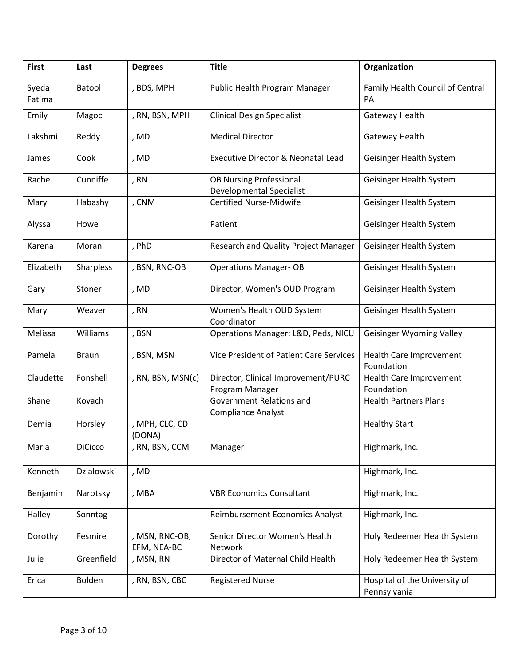| <b>First</b>    | Last           | <b>Degrees</b>                | <b>Title</b>                                                      | Organization                                  |
|-----------------|----------------|-------------------------------|-------------------------------------------------------------------|-----------------------------------------------|
| Syeda<br>Fatima | Batool         | , BDS, MPH                    | Public Health Program Manager                                     | Family Health Council of Central<br>PA        |
| Emily           | Magoc          | , RN, BSN, MPH                | <b>Clinical Design Specialist</b>                                 | Gateway Health                                |
| Lakshmi         | Reddy          | , MD                          | <b>Medical Director</b>                                           | Gateway Health                                |
| James           | Cook           | , MD                          | <b>Executive Director &amp; Neonatal Lead</b>                     | Geisinger Health System                       |
| Rachel          | Cunniffe       | , RN                          | <b>OB Nursing Professional</b><br><b>Developmental Specialist</b> | Geisinger Health System                       |
| Mary            | Habashy        | , CNM                         | <b>Certified Nurse-Midwife</b>                                    | Geisinger Health System                       |
| Alyssa          | Howe           |                               | Patient                                                           | Geisinger Health System                       |
| Karena          | Moran          | , PhD                         | Research and Quality Project Manager                              | Geisinger Health System                       |
| Elizabeth       | Sharpless      | , BSN, RNC-OB                 | <b>Operations Manager- OB</b>                                     | Geisinger Health System                       |
| Gary            | Stoner         | , MD                          | Director, Women's OUD Program                                     | Geisinger Health System                       |
| Mary            | Weaver         | , RN                          | Women's Health OUD System<br>Coordinator                          | Geisinger Health System                       |
| Melissa         | Williams       | , BSN                         | Operations Manager: L&D, Peds, NICU                               | <b>Geisinger Wyoming Valley</b>               |
| Pamela          | <b>Braun</b>   | , BSN, MSN                    | Vice President of Patient Care Services                           | Health Care Improvement<br>Foundation         |
| Claudette       | Fonshell       | , RN, BSN, MSN(c)             | Director, Clinical Improvement/PURC<br>Program Manager            | Health Care Improvement<br>Foundation         |
| Shane           | Kovach         |                               | <b>Government Relations and</b><br><b>Compliance Analyst</b>      | <b>Health Partners Plans</b>                  |
| Demia           | Horsley        | , MPH, CLC, CD<br>(DONA)      |                                                                   | <b>Healthy Start</b>                          |
| Maria           | <b>DiCicco</b> | , RN, BSN, CCM                | Manager                                                           | Highmark, Inc.                                |
| Kenneth         | Dzialowski     | , MD                          |                                                                   | Highmark, Inc.                                |
| Benjamin        | Narotsky       | , MBA                         | <b>VBR Economics Consultant</b>                                   | Highmark, Inc.                                |
| Halley          | Sonntag        |                               | Reimbursement Economics Analyst                                   | Highmark, Inc.                                |
| Dorothy         | Fesmire        | , MSN, RNC-OB,<br>EFM, NEA-BC | Senior Director Women's Health<br>Network                         | Holy Redeemer Health System                   |
| Julie           | Greenfield     | , MSN, RN                     | Director of Maternal Child Health                                 | Holy Redeemer Health System                   |
| Erica           | Bolden         | , RN, BSN, CBC                | <b>Registered Nurse</b>                                           | Hospital of the University of<br>Pennsylvania |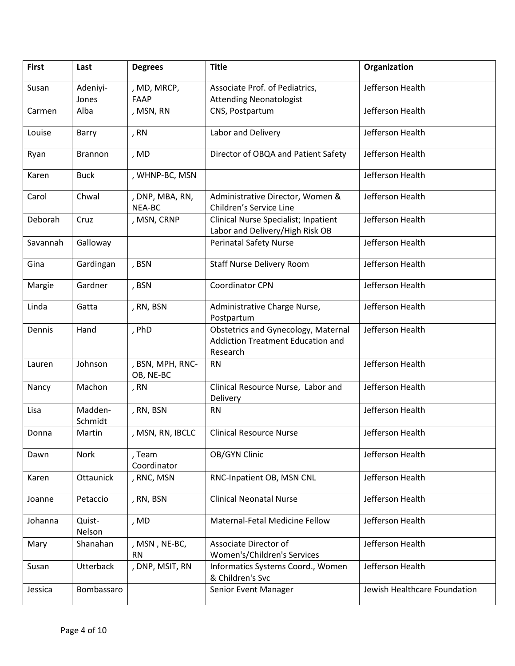| <b>First</b> | Last               | <b>Degrees</b>                | <b>Title</b>                                                                                | Organization                 |
|--------------|--------------------|-------------------------------|---------------------------------------------------------------------------------------------|------------------------------|
| Susan        | Adeniyi-<br>Jones  | , MD, MRCP,<br>FAAP           | Associate Prof. of Pediatrics,<br><b>Attending Neonatologist</b>                            | Jefferson Health             |
| Carmen       | Alba               | , MSN, RN                     | CNS, Postpartum                                                                             | Jefferson Health             |
| Louise       | Barry              | , RN                          | Labor and Delivery                                                                          | Jefferson Health             |
| Ryan         | <b>Brannon</b>     | , MD                          | Director of OBQA and Patient Safety                                                         | Jefferson Health             |
| Karen        | <b>Buck</b>        | , WHNP-BC, MSN                |                                                                                             | Jefferson Health             |
| Carol        | Chwal              | , DNP, MBA, RN,<br>NEA-BC     | Administrative Director, Women &<br>Children's Service Line                                 | Jefferson Health             |
| Deborah      | Cruz               | , MSN, CRNP                   | Clinical Nurse Specialist; Inpatient<br>Labor and Delivery/High Risk OB                     | Jefferson Health             |
| Savannah     | Galloway           |                               | <b>Perinatal Safety Nurse</b>                                                               | Jefferson Health             |
| Gina         | Gardingan          | , BSN                         | <b>Staff Nurse Delivery Room</b>                                                            | Jefferson Health             |
| Margie       | Gardner            | , BSN                         | <b>Coordinator CPN</b>                                                                      | Jefferson Health             |
| Linda        | Gatta              | , RN, BSN                     | Administrative Charge Nurse,<br>Postpartum                                                  | Jefferson Health             |
| Dennis       | Hand               | , PhD                         | <b>Obstetrics and Gynecology, Maternal</b><br>Addiction Treatment Education and<br>Research | Jefferson Health             |
| Lauren       | Johnson            | , BSN, MPH, RNC-<br>OB, NE-BC | <b>RN</b>                                                                                   | Jefferson Health             |
| Nancy        | Machon             | , RN                          | Clinical Resource Nurse, Labor and<br>Delivery                                              | Jefferson Health             |
| Lisa         | Madden-<br>Schmidt | , RN, BSN                     | <b>RN</b>                                                                                   | Jefferson Health             |
| Donna        | Martin             | , MSN, RN, IBCLC              | <b>Clinical Resource Nurse</b>                                                              | Jefferson Health             |
| Dawn         | Nork               | , Team<br>Coordinator         | OB/GYN Clinic                                                                               | Jefferson Health             |
| Karen        | Ottaunick          | , RNC, MSN                    | RNC-Inpatient OB, MSN CNL                                                                   | Jefferson Health             |
| Joanne       | Petaccio           | , RN, BSN                     | <b>Clinical Neonatal Nurse</b>                                                              | Jefferson Health             |
| Johanna      | Quist-<br>Nelson   | , MD                          | Maternal-Fetal Medicine Fellow                                                              | Jefferson Health             |
| Mary         | Shanahan           | , MSN, NE-BC,<br><b>RN</b>    | Associate Director of<br>Women's/Children's Services                                        | Jefferson Health             |
| Susan        | <b>Utterback</b>   | , DNP, MSIT, RN               | Informatics Systems Coord., Women<br>& Children's Svc                                       | Jefferson Health             |
| Jessica      | Bombassaro         |                               | Senior Event Manager                                                                        | Jewish Healthcare Foundation |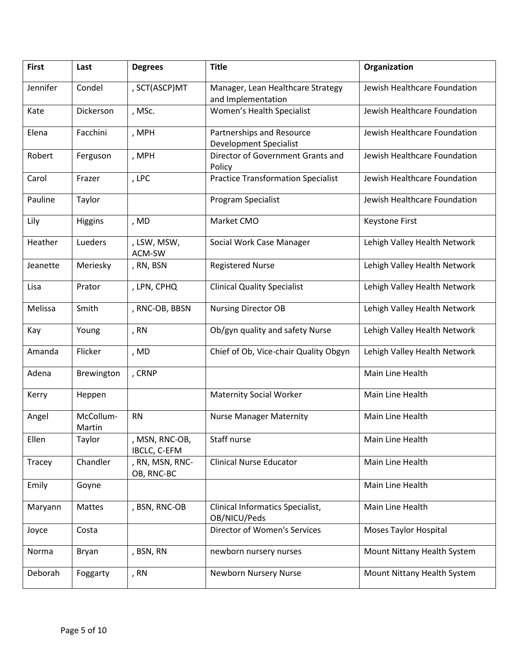| <b>First</b> | Last                | <b>Degrees</b>                 | <b>Title</b>                                               | Organization                 |
|--------------|---------------------|--------------------------------|------------------------------------------------------------|------------------------------|
| Jennifer     | Condel              | , SCT(ASCP)MT                  | Manager, Lean Healthcare Strategy<br>and Implementation    | Jewish Healthcare Foundation |
| Kate         | Dickerson           | , MSc.                         | Women's Health Specialist                                  | Jewish Healthcare Foundation |
| Elena        | Facchini            | , MPH                          | Partnerships and Resource<br><b>Development Specialist</b> | Jewish Healthcare Foundation |
| Robert       | Ferguson            | , MPH                          | Director of Government Grants and<br>Policy                | Jewish Healthcare Foundation |
| Carol        | Frazer              | , LPC                          | <b>Practice Transformation Specialist</b>                  | Jewish Healthcare Foundation |
| Pauline      | Taylor              |                                | Program Specialist                                         | Jewish Healthcare Foundation |
| Lily         | <b>Higgins</b>      | , MD                           | Market CMO                                                 | Keystone First               |
| Heather      | Lueders             | , LSW, MSW,<br>ACM-SW          | Social Work Case Manager                                   | Lehigh Valley Health Network |
| Jeanette     | Meriesky            | , RN, BSN                      | <b>Registered Nurse</b>                                    | Lehigh Valley Health Network |
| Lisa         | Prator              | , LPN, CPHQ                    | <b>Clinical Quality Specialist</b>                         | Lehigh Valley Health Network |
| Melissa      | Smith               | , RNC-OB, BBSN                 | <b>Nursing Director OB</b>                                 | Lehigh Valley Health Network |
| Kay          | Young               | , RN                           | Ob/gyn quality and safety Nurse                            | Lehigh Valley Health Network |
| Amanda       | Flicker             | , MD                           | Chief of Ob, Vice-chair Quality Obgyn                      | Lehigh Valley Health Network |
| Adena        | Brewington          | , CRNP                         |                                                            | Main Line Health             |
| Kerry        | Heppen              |                                | <b>Maternity Social Worker</b>                             | Main Line Health             |
| Angel        | McCollum-<br>Martin | <b>RN</b>                      | <b>Nurse Manager Maternity</b>                             | Main Line Health             |
| Ellen        | Taylor              | , MSN, RNC-OB,<br>IBCLC, C-EFM | Staff nurse                                                | Main Line Health             |
| Tracey       | Chandler            | , RN, MSN, RNC-<br>OB, RNC-BC  | <b>Clinical Nurse Educator</b>                             | Main Line Health             |
| Emily        | Goyne               |                                |                                                            | Main Line Health             |
| Maryann      | Mattes              | , BSN, RNC-OB                  | Clinical Informatics Specialist,<br>OB/NICU/Peds           | Main Line Health             |
| Joyce        | Costa               |                                | <b>Director of Women's Services</b>                        | <b>Moses Taylor Hospital</b> |
| Norma        | Bryan               | , BSN, RN                      | newborn nursery nurses                                     | Mount Nittany Health System  |
| Deborah      | Foggarty            | , RN                           | Newborn Nursery Nurse                                      | Mount Nittany Health System  |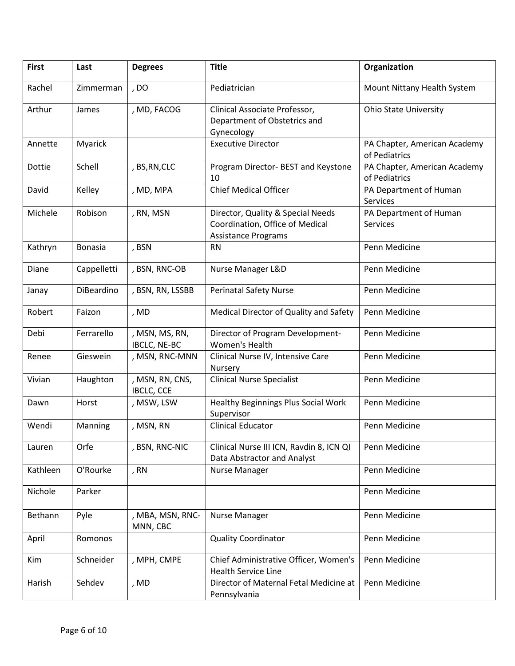| <b>First</b> | Last           | <b>Degrees</b>                 | <b>Title</b>                                                                                       | Organization                                  |
|--------------|----------------|--------------------------------|----------------------------------------------------------------------------------------------------|-----------------------------------------------|
| Rachel       | Zimmerman      | , Do                           | Pediatrician                                                                                       | Mount Nittany Health System                   |
| Arthur       | James          | , MD, FACOG                    | Clinical Associate Professor,<br>Department of Obstetrics and<br>Gynecology                        | <b>Ohio State University</b>                  |
| Annette      | Myarick        |                                | <b>Executive Director</b>                                                                          | PA Chapter, American Academy<br>of Pediatrics |
| Dottie       | Schell         | , BS, RN, CLC                  | Program Director- BEST and Keystone<br>10                                                          | PA Chapter, American Academy<br>of Pediatrics |
| David        | Kelley         | , MD, MPA                      | <b>Chief Medical Officer</b>                                                                       | PA Department of Human<br>Services            |
| Michele      | Robison        | , RN, MSN                      | Director, Quality & Special Needs<br>Coordination, Office of Medical<br><b>Assistance Programs</b> | PA Department of Human<br>Services            |
| Kathryn      | <b>Bonasia</b> | , BSN                          | <b>RN</b>                                                                                          | Penn Medicine                                 |
| Diane        | Cappelletti    | , BSN, RNC-OB                  | Nurse Manager L&D                                                                                  | Penn Medicine                                 |
| Janay        | DiBeardino     | , BSN, RN, LSSBB               | <b>Perinatal Safety Nurse</b>                                                                      | Penn Medicine                                 |
| Robert       | Faizon         | , MD                           | Medical Director of Quality and Safety                                                             | Penn Medicine                                 |
| Debi         | Ferrarello     | , MSN, MS, RN,<br>IBCLC, NE-BC | Director of Program Development-<br>Women's Health                                                 | Penn Medicine                                 |
| Renee        | Gieswein       | , MSN, RNC-MNN                 | Clinical Nurse IV, Intensive Care<br>Nursery                                                       | Penn Medicine                                 |
| Vivian       | Haughton       | , MSN, RN, CNS,<br>IBCLC, CCE  | <b>Clinical Nurse Specialist</b>                                                                   | Penn Medicine                                 |
| Dawn         | Horst          | , MSW, LSW                     | <b>Healthy Beginnings Plus Social Work</b><br>Supervisor                                           | Penn Medicine                                 |
| Wendi        | Manning        | , MSN, RN                      | <b>Clinical Educator</b>                                                                           | Penn Medicine                                 |
| Lauren       | Orfe           | , BSN, RNC-NIC                 | Clinical Nurse III ICN, Ravdin 8, ICN QI<br>Data Abstractor and Analyst                            | Penn Medicine                                 |
| Kathleen     | O'Rourke       | , RN                           | Nurse Manager                                                                                      | Penn Medicine                                 |
| Nichole      | Parker         |                                |                                                                                                    | Penn Medicine                                 |
| Bethann      | Pyle           | , MBA, MSN, RNC-<br>MNN, CBC   | Nurse Manager                                                                                      | Penn Medicine                                 |
| April        | Romonos        |                                | <b>Quality Coordinator</b>                                                                         | Penn Medicine                                 |
| Kim          | Schneider      | , MPH, CMPE                    | Chief Administrative Officer, Women's<br><b>Health Service Line</b>                                | Penn Medicine                                 |
| Harish       | Sehdev         | , MD                           | Director of Maternal Fetal Medicine at<br>Pennsylvania                                             | Penn Medicine                                 |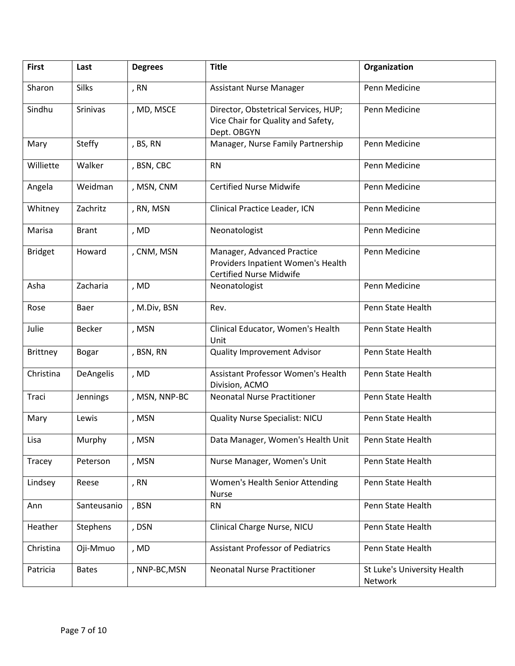| <b>First</b>    | Last            | <b>Degrees</b> | <b>Title</b>                                                                                       | Organization                           |
|-----------------|-----------------|----------------|----------------------------------------------------------------------------------------------------|----------------------------------------|
| Sharon          | <b>Silks</b>    | , RN           | <b>Assistant Nurse Manager</b>                                                                     | Penn Medicine                          |
| Sindhu          | <b>Srinivas</b> | , MD, MSCE     | Director, Obstetrical Services, HUP;<br>Vice Chair for Quality and Safety,<br>Dept. OBGYN          | Penn Medicine                          |
| Mary            | <b>Steffy</b>   | , BS, RN       | Manager, Nurse Family Partnership                                                                  | Penn Medicine                          |
| Williette       | Walker          | , BSN, CBC     | <b>RN</b>                                                                                          | Penn Medicine                          |
| Angela          | Weidman         | , MSN, CNM     | <b>Certified Nurse Midwife</b>                                                                     | Penn Medicine                          |
| Whitney         | Zachritz        | , RN, MSN      | Clinical Practice Leader, ICN                                                                      | Penn Medicine                          |
| Marisa          | <b>Brant</b>    | , MD           | Neonatologist                                                                                      | Penn Medicine                          |
| <b>Bridget</b>  | Howard          | , CNM, MSN     | Manager, Advanced Practice<br>Providers Inpatient Women's Health<br><b>Certified Nurse Midwife</b> | Penn Medicine                          |
| Asha            | Zacharia        | , MD           | Neonatologist                                                                                      | Penn Medicine                          |
| Rose            | Baer            | , M.Div, BSN   | Rev.                                                                                               | Penn State Health                      |
| Julie           | <b>Becker</b>   | , MSN          | Clinical Educator, Women's Health<br>Unit                                                          | Penn State Health                      |
| <b>Brittney</b> | <b>Bogar</b>    | , BSN, RN      | <b>Quality Improvement Advisor</b>                                                                 | Penn State Health                      |
| Christina       | DeAngelis       | , MD           | Assistant Professor Women's Health<br>Division, ACMO                                               | Penn State Health                      |
| Traci           | Jennings        | , MSN, NNP-BC  | <b>Neonatal Nurse Practitioner</b>                                                                 | Penn State Health                      |
| Mary            | Lewis           | , MSN          | <b>Quality Nurse Specialist: NICU</b>                                                              | Penn State Health                      |
| Lisa            | Murphy          | , MSN          | Data Manager, Women's Health Unit                                                                  | Penn State Health                      |
| Tracey          | Peterson        | , MSN          | Nurse Manager, Women's Unit                                                                        | Penn State Health                      |
| Lindsey         | Reese           | , RN           | Women's Health Senior Attending<br><b>Nurse</b>                                                    | Penn State Health                      |
| Ann             | Santeusanio     | , BSN          | <b>RN</b>                                                                                          | Penn State Health                      |
| Heather         | Stephens        | , DSN          | Clinical Charge Nurse, NICU                                                                        | Penn State Health                      |
| Christina       | Oji-Mmuo        | , MD           | <b>Assistant Professor of Pediatrics</b>                                                           | Penn State Health                      |
| Patricia        | <b>Bates</b>    | , NNP-BC, MSN  | <b>Neonatal Nurse Practitioner</b>                                                                 | St Luke's University Health<br>Network |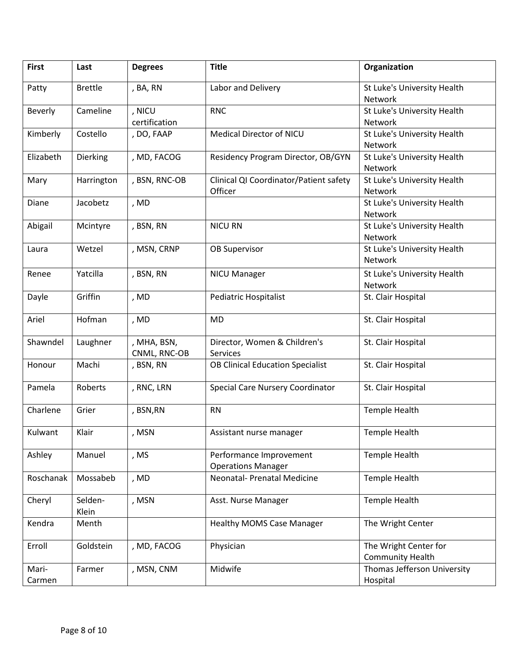| <b>First</b>    | Last             | <b>Degrees</b>              | <b>Title</b>                                         | Organization                                     |
|-----------------|------------------|-----------------------------|------------------------------------------------------|--------------------------------------------------|
| Patty           | <b>Brettle</b>   | , BA, RN                    | Labor and Delivery                                   | St Luke's University Health<br>Network           |
| Beverly         | Cameline         | , NICU<br>certification     | <b>RNC</b>                                           | St Luke's University Health<br>Network           |
| Kimberly        | Costello         | , DO, FAAP                  | Medical Director of NICU                             | St Luke's University Health<br>Network           |
| Elizabeth       | Dierking         | , MD, FACOG                 | Residency Program Director, OB/GYN                   | St Luke's University Health<br>Network           |
| Mary            | Harrington       | , BSN, RNC-OB               | Clinical QI Coordinator/Patient safety<br>Officer    | St Luke's University Health<br>Network           |
| Diane           | Jacobetz         | , MD                        |                                                      | St Luke's University Health<br>Network           |
| Abigail         | Mcintyre         | , BSN, RN                   | <b>NICU RN</b>                                       | St Luke's University Health<br>Network           |
| Laura           | Wetzel           | , MSN, CRNP                 | <b>OB Supervisor</b>                                 | St Luke's University Health<br>Network           |
| Renee           | Yatcilla         | , BSN, RN                   | <b>NICU Manager</b>                                  | St Luke's University Health<br>Network           |
| Dayle           | Griffin          | , MD                        | <b>Pediatric Hospitalist</b>                         | St. Clair Hospital                               |
| Ariel           | Hofman           | , MD                        | <b>MD</b>                                            | St. Clair Hospital                               |
| Shawndel        | Laughner         | , MHA, BSN,<br>CNML, RNC-OB | Director, Women & Children's<br>Services             | St. Clair Hospital                               |
| Honour          | Machi            | , BSN, RN                   | <b>OB Clinical Education Specialist</b>              | St. Clair Hospital                               |
| Pamela          | Roberts          | , RNC, LRN                  | Special Care Nursery Coordinator                     | St. Clair Hospital                               |
| Charlene        | Grier            | , BSN, RN                   | <b>RN</b>                                            | Temple Health                                    |
| Kulwant         | Klair            | , MSN                       | Assistant nurse manager                              | <b>Temple Health</b>                             |
| Ashley          | Manuel           | , MS                        | Performance Improvement<br><b>Operations Manager</b> | <b>Temple Health</b>                             |
| Roschanak       | Mossabeb         | , MD                        | <b>Neonatal- Prenatal Medicine</b>                   | <b>Temple Health</b>                             |
| Cheryl          | Selden-<br>Klein | , MSN                       | Asst. Nurse Manager                                  | Temple Health                                    |
| Kendra          | Menth            |                             | <b>Healthy MOMS Case Manager</b>                     | The Wright Center                                |
| Erroll          | Goldstein        | , MD, FACOG                 | Physician                                            | The Wright Center for<br><b>Community Health</b> |
| Mari-<br>Carmen | Farmer           | , MSN, CNM                  | Midwife                                              | Thomas Jefferson University<br>Hospital          |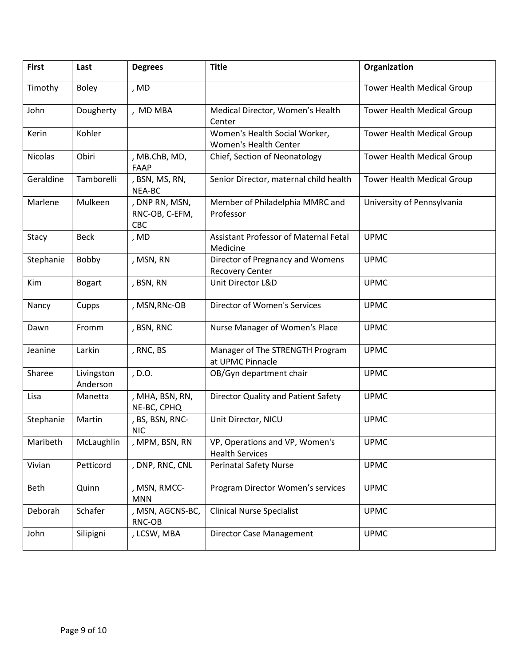| <b>First</b> | Last                   | <b>Degrees</b>                          | <b>Title</b>                                               | Organization                      |
|--------------|------------------------|-----------------------------------------|------------------------------------------------------------|-----------------------------------|
| Timothy      | <b>Boley</b>           | , MD                                    |                                                            | <b>Tower Health Medical Group</b> |
| John         | Dougherty              | , MD MBA                                | Medical Director, Women's Health<br>Center                 | Tower Health Medical Group        |
| Kerin        | Kohler                 |                                         | Women's Health Social Worker,<br>Women's Health Center     | <b>Tower Health Medical Group</b> |
| Nicolas      | Obiri                  | , MB.ChB, MD,<br><b>FAAP</b>            | Chief, Section of Neonatology                              | Tower Health Medical Group        |
| Geraldine    | Tamborelli             | , BSN, MS, RN,<br>NEA-BC                | Senior Director, maternal child health                     | <b>Tower Health Medical Group</b> |
| Marlene      | Mulkeen                | , DNP RN, MSN,<br>RNC-OB, C-EFM,<br>CBC | Member of Philadelphia MMRC and<br>Professor               | University of Pennsylvania        |
| Stacy        | <b>Beck</b>            | , MD                                    | Assistant Professor of Maternal Fetal<br>Medicine          | <b>UPMC</b>                       |
| Stephanie    | Bobby                  | , MSN, RN                               | Director of Pregnancy and Womens<br><b>Recovery Center</b> | <b>UPMC</b>                       |
| Kim          | <b>Bogart</b>          | , BSN, RN                               | Unit Director L&D                                          | <b>UPMC</b>                       |
| Nancy        | Cupps                  | , MSN, RNc-OB                           | <b>Director of Women's Services</b>                        | <b>UPMC</b>                       |
| Dawn         | Fromm                  | , BSN, RNC                              | Nurse Manager of Women's Place                             | <b>UPMC</b>                       |
| Jeanine      | Larkin                 | , RNC, BS                               | Manager of The STRENGTH Program<br>at UPMC Pinnacle        | <b>UPMC</b>                       |
| Sharee       | Livingston<br>Anderson | , D.O.                                  | OB/Gyn department chair                                    | <b>UPMC</b>                       |
| Lisa         | Manetta                | , MHA, BSN, RN,<br>NE-BC, CPHQ          | Director Quality and Patient Safety                        | <b>UPMC</b>                       |
| Stephanie    | Martin                 | , BS, BSN, RNC-<br><b>NIC</b>           | Unit Director, NICU                                        | <b>UPMC</b>                       |
| Maribeth     | McLaughlin             | , MPM, BSN, RN                          | VP, Operations and VP, Women's<br><b>Health Services</b>   | <b>UPMC</b>                       |
| Vivian       | Petticord              | , DNP, RNC, CNL                         | <b>Perinatal Safety Nurse</b>                              | <b>UPMC</b>                       |
| Beth         | Quinn                  | , MSN, RMCC-<br><b>MNN</b>              | Program Director Women's services                          | <b>UPMC</b>                       |
| Deborah      | Schafer                | , MSN, AGCNS-BC,<br>RNC-OB              | <b>Clinical Nurse Specialist</b>                           | <b>UPMC</b>                       |
| John         | Silipigni              | , LCSW, MBA                             | <b>Director Case Management</b>                            | <b>UPMC</b>                       |